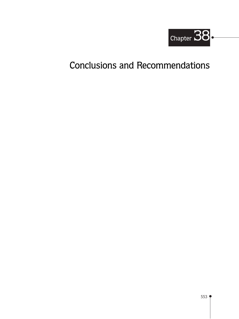

# **Conclusions and Recommendations**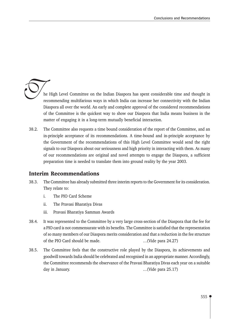he High Level Committee on the Indian Diaspora has spent considerable time and thought in recommending multifarious ways in which India can increase her connectivity with the Indian Diaspora all over the world. An early and complete approval of the considered recommendations of the Committee is the quickest way to show our Diaspora that India means business in the matter of engaging it in a long-term mutually beneficial interaction.

 $38.2.$ The Committee also requests a time bound consideration of the report of the Committee, and an in-principle acceptance of its recommendations. A time-bound and in-principle acceptance by the Government of the recommendations of this High Level Committee would send the right signals to our Diaspora about our seriousness and high priority in interacting with them. As many of our recommendations are original and novel attempts to engage the Diaspora, a sufficient preparation time is needed to translate them into ground reality by the year 2003.

#### **Interim Recommendations**

- 38.3. The Committee has already submitted three interim reports to the Government for its consideration. They relate to:
	- $\mathbf{i}$ . The PIO Card Scheme
	- ii. The Pravasi Bharatiya Divas
	- iii. Pravasi Bharatiya Samman Awards
- 38.4. It was represented to the Committee by a very large cross-section of the Diaspora that the fee for a PIO card is not commensurate with its benefits. The Committee is satisfied that the representation of so many members of our Diaspora merits consideration and that a reduction in the fee structure of the PIO Card should be made. ...(Vide para 24.27)
- 38.5. The Committee feels that the constructive role played by the Diaspora, its achievements and goodwill towards India should be celebrated and recognised in an appropriate manner. Accordingly, the Committee recommends the observance of the Pravasi Bharatiya Divas each year on a suitable day in January. ...(Vide para 25.17)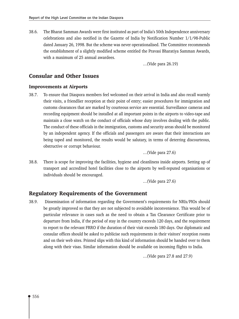38.6. The Bharat Samman Awards were first instituted as part of India's 50th Independence anniversary celebrations and also notified in the Gazette of India by Notification Number 1/1/98-Public dated January 26, 1998. But the scheme was never operationalised. The Committee recommends the establishment of a slightly modified scheme entitled the Pravasi Bharatiya Samman Awards, with a maximum of 25 annual awardees.

...(Vide para 26.19)

#### **Consular and Other Issues**

#### **Improvements at Airports**

38.7. To ensure that Diaspora members feel welcomed on their arrival in India and also recall warmly their visits, a friendlier reception at their point of entry; easier procedures for immigration and customs clearances that are marked by courteous service are essential. Surveillance cameras and recording equipment should be installed at all important points in the airports to video-tape and maintain a close watch on the conduct of officials whose duty involves dealing with the public. The conduct of these officials in the immigration, customs and security areas should be monitored by an independent agency. If the officials and passengers are aware that their interactions are being taped and monitored, the results would be salutary, in terms of deterring discourteous, obstructive or corrupt behaviour.

...(Vide para 27.6)

38.8. There is scope for improving the facilities, hygiene and cleanliness inside airports. Setting up of transport and accredited hotel facilities close to the airports by well-reputed organisations or individuals should be encouraged.

...(Vide para 27.6)

## **Regulatory Requirements of the Government**

38.9. Dissemination of information regarding the Government's requirements for NRIs/PIOs should be greatly improved so that they are not subjected to avoidable inconvenience. This would be of particular relevance in cases such as the need to obtain a Tax Clearance Certificate prior to departure from India, if the period of stay in the country exceeds 120 days, and the requirement to report to the relevant FRRO if the duration of their visit exceeds 180 days. Our diplomatic and consular offices should be asked to publicise such requirements in their visitors' reception rooms and on their web sites. Printed slips with this kind of information should be handed over to them along with their visas. Similar information should be available on incoming flights to India.

...(Vide para 27.8 and 27.9)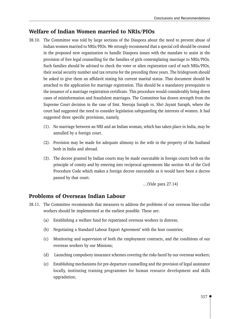## **Welfare of Indian Women married to NRIs/PIOs**

- 38.10. The Committee was told by large sections of the Diaspora about the need to prevent abuse of Indian women married to NRIs/PIOs. We strongly recommend that a special cell should be created in the proposed new organisation to handle Diaspora issues with the mandate to assist in the provision of free legal counselling for the families of girls contemplating marriage to NRIs/PIOs. Such families should be advised to check the voter or alien registration card of such NRIs/PIOs, their social security number and tax returns for the preceding three years. The bridegroom should be asked to give them an affidavit stating his current marital status. That document should be attached to the application for marriage registration. This should be a mandatory prerequisite to the issuance of a marriage registration certificate. This procedure would considerably bring down cases of misinformation and fraudulent marriages. The Committee has drawn strength from the Supreme Court decision in the case of Smt. Neeraja Saraph vs. Shri Jayant Saraph, where the court had suggested the need to consider legislation safeguarding the interests of women. It had suggested three specific provisions, namely,
	- (1). No marriage between an NRI and an Indian woman, which has taken place in India, may be annulled by a foreign court.
	- (2). Provision may be made for adequate alimony to the wife in the property of the husband both in India and abroad.
	- (3). The decree granted by Indian courts may be made executable in foreign courts both on the principle of comity and by entering into reciprocal agreements like section 4A of the Civil Procedure Code which makes a foreign decree executable as it would have been a decree passed by that court.

...(Vide para 27.14)

#### **Problems of Overseas Indian Labour**

- 38.11. The Committee recommends that measures to address the problems of our overseas blue-collar workers should be implemented at the earliest possible. These are:
	- $(a)$ Establishing a welfare fund for repatriated overseas workers in distress;
	- (b) Negotiating a Standard Labour Export Agreement' with the host countries;
	- (c) Monitoring and supervision of both the employment contracts, and the conditions of our overseas workers by our Missions;
	- (d) Launching compulsory insurance schemes covering the risks faced by our overseas workers;
	- (e) Establishing mechanisms for pre-departure counselling and the provision of legal assistance locally, instituting training programmes for human resource development and skills upgradation;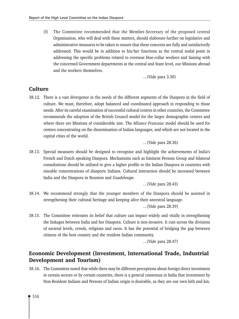$(f)$ The Committee recommended that the Member-Secretary of the proposed central Organisation, who will deal with these matters, should elaborate further on legislative and administrative measures to be taken to ensure that these concerns are fully and satisfactorily addressed. This would be in addition to his/her functions as the central nodal point in addressing the specific problems related to overseas blue-collar workers and liaising with the concerned Government departments at the central and State level, our Missions abroad and the workers themselves.

...(Vide para 3.30)

# **Culture**

38.12. There is a vast divergence in the needs of the different segments of the Diaspora in the field of culture. We must, therefore, adopt balanced and coordinated approach in responding to those needs. After its careful examination of successful cultural centres in other countries, the Committee recommends the adoption of the British Council model for the larger demographic centres and where there are Missions of considerable size. The Alliance Francaise model should be used for centres concentrating on the dissemination of Indian languages, and which are not located in the capital cities of the world.

...(Vide para 28.36)

38.13. Special measures should be designed to recognise and highlight the achievements of India's French and Dutch speaking Diaspora. Mechanisms such as Eminent Persons Group and bilateral consultations should be utilized to give a higher profile to the Indian Diaspora in countries with sizeable concentrations of diasporic Indians. Cultural interaction should be increased between India and the Diaspora in Reunion and Guadeloupe.

...(Vide para 28.43)

38.14. We recommend strongly that the younger members of the Diaspora should be assisted in strengthening their cultural heritage and keeping alive their ancestral language.

...(Vide para 28.39)

38.15. The Committee reiterates its belief that culture can impact widely and vitally in strengthening the linkages between India and her Diaspora. Culture is non-invasive. It cuts across the divisions of societal levels, creeds, religions and races. It has the potential of bridging the gap between citizens of the host country and the resident Indian community.

...(Vide para 28.47)

# Economic Development (Investment, International Trade, Industrial **Development and Tourism)**

38.16. The Committee noted that while there may be different perceptions about foreign direct investment in certain sectors or by certain countries, there is a general consensus in India that investment by Non-Resident Indians and Persons of Indian origin is desirable, as they are our own kith and kin.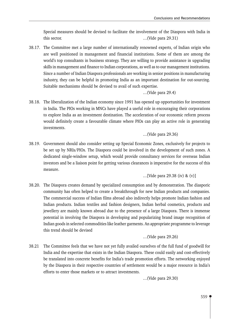Special measures should be devised to facilitate the involvement of the Diaspora with India in this sector.  $\ldots$  (Vide para 29.31)

38.17. The Committee met a large number of internationally renowned experts, of Indian origin who are well positioned in management and financial institutions. Some of them are among the world's top consultants in business strategy. They are willing to provide assistance in upgrading skills in management and finance to Indian corporations, as well as to our management institutions. Since a number of Indian Diaspora professionals are working in senior positions in manufacturing industry, they can be helpful in promoting India as an important destination for out-sourcing. Suitable mechanisms should be devised to avail of such expertise.

```
...(Vide para 29.4)
```
38.18. The liberalization of the Indian economy since 1991 has opened up opportunities for investment in India. The PIOs working in MNCs have played a useful role in encouraging their corporations to explore India as an investment destination. The acceleration of our economic reform process would definitely create a favourable climate where PIOs can play an active role in generating investments.

```
...(Vide para 29.36)
```
38.19. Government should also consider setting up Special Economic Zones, exclusively for projects to be set up by NRIs/PIOs. The Diaspora could be involved in the development of such zones. A dedicated single-window setup, which would provide consultancy services for overseas Indian investors and be a liaison point for getting various clearances is imperative for the success of this measure.

... [Vide para 29.38 (iv) &  $(v)$ ]

38.20. The Diaspora creates demand by specialized consumption and by demonstration. The diasporic community has often helped to create a breakthrough for new Indian products and companies. The commercial success of Indian films abroad also indirectly helps promote Indian fashion and Indian products. Indian textiles and fashion designers, Indian herbal cosmetics, products and jewellery are mainly known abroad due to the presence of a large Diaspora. There is immense potential in involving the Diaspora in developing and popularizing brand image recognition of Indian goods in selected commodities like leather garments. An appropriate programme to leverage this trend should be devised

...(Vide para 29.26)

38.21 The Committee feels that we have not yet fully availed ourselves of the full fund of goodwill for India and the expertise that exists in the Indian Diaspora. These could easily and cost-effectively be translated into concrete benefits for India's trade promotion efforts. The networking enjoyed by the Diaspora in their respective countries of settlement would be a major resource in India's efforts to enter those markets or to attract investments.

...(Vide para 29.30)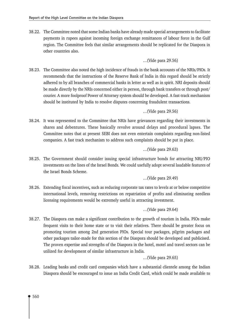38.22. The Committee noted that some Indian banks have already made special arrangements to facilitate payments in rupees against incoming foreign exchange remittances of labour force in the Gulf region. The Committee feels that similar arrangements should be replicated for the Diaspora in other countries also.

...(Vide para 29.56)

38.23. The Committee also noted the high incidence of frauds in the bank accounts of the NRIs/PIOs. It recommends that the instructions of the Reserve Bank of India in this regard should be strictly adhered to by all branches of commercial banks in letter as well as in spirit. NRI deposits should be made directly by the NRIs concerned either in person, through bank transfers or through post/ courier. A more foolproof Power of Attorney system should be developed. A fast-track mechanism should be instituted by India to resolve disputes concerning fraudulent transactions.

...(Vide para 29.56)

38.24. It was represented to the Committee that NRIs have grievances regarding their investments in shares and debentures. These basically revolve around delays and procedural lapses. The Committee notes that at present SEBI does not even entertain complaints regarding non-listed companies. A fast track mechanism to address such complaints should be put in place.

```
...(Vide para 29.63)
```
- 38.25. The Government should consider issuing special infrastructure bonds for attracting NRI/PIO investments on the lines of the Israel Bonds. We could usefully adopt several laudable features of the Israel Bonds Scheme.
	- ...(Vide para 29.49)
- 38.26. Extending fiscal incentives, such as reducing corporate tax rates to levels at or below competitive international levels, removing restrictions on repatriation of profits and eliminating needless licensing requirements would be extremely useful in attracting investment.

...(Vide para 29.64)

38.27. The Diaspora can make a significant contribution to the growth of tourism in India. PIOs make frequent visits to their home state or to visit their relatives. There should be greater focus on promoting tourism among 2nd generation PIOs. Special tour packages, pilgrim packages and other packages tailor-made for this section of the Diaspora should be developed and publicised. The proven expertise and strengths of the Diaspora in the hotel, motel and travel sectors can be utilized for development of similar infrastructure in India.

...(Vide para 29.65)

38.28. Leading banks and credit card companies which have a substantial clientele among the Indian Diaspora should be encouraged to issue an India Credit Card, which could be made available to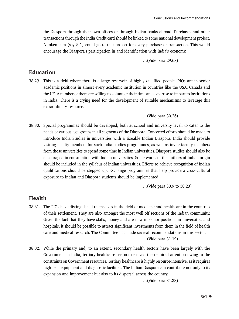the Diaspora through their own offices or through Indian banks abroad. Purchases and other transactions through the India Credit card should be linked to some national development project. A token sum (say \$ 1) could go to that project for every purchase or transaction. This would encourage the Diaspora's participation in and identification with India's economy.

...(Vide para 29.68)

#### **Education**

- 38.29. This is a field where there is a large reservoir of highly qualified people. PIOs are in senior academic positions in almost every academic institution in countries like the USA, Canada and the UK. A number of them are willing to volunteer their time and expertise to impart to institutions in India. There is a crying need for the development of suitable mechanisms to leverage this extraordinary resource.
	- ...(Vide para 30.26)
- 38.30. Special programmes should be developed, both at school and university level, to cater to the needs of various age groups in all segments of the Diaspora. Concerted efforts should be made to introduce India Studies in universities with a sizeable Indian Diaspora. India should provide visiting faculty members for such India studies programmes, as well as invite faculty members from those universities to spend some time in Indian universities. Diaspora studies should also be encouraged in consultation with Indian universities. Some works of the authors of Indian origin should be included in the syllabus of Indian universities. Efforts to achieve recognition of Indian qualifications should be stepped up. Exchange programmes that help provide a cross-cultural exposure to Indian and Diaspora students should be implemented.

...(Vide para 30.9 to 30.23)

#### **Health**

- 38.31. The PIOs have distinguished themselves in the field of medicine and healthcare in the countries of their settlement. They are also amongst the most well off sections of the Indian community. Given the fact that they have skills, money and are now in senior positions in universities and hospitals, it should be possible to attract significant investments from them in the field of health care and medical research. The Committee has made several recommendations in this sector. ...(Vide para 31.19)
- 38.32. While the primary and, to an extent, secondary health sectors have been largely with the Government in India, tertiary healthcare has not received the required attention owing to the constraints on Government resources. Tertiary healthcare is highly resource-intensive, as it requires high-tech equipment and diagnostic facilities. The Indian Diaspora can contribute not only to its expansion and improvement but also to its dispersal across the country.

...(Vide para 31.33)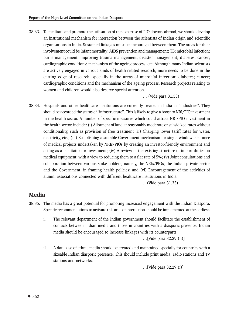38.33. To facilitate and promote the utilisation of the expertise of PIO doctors abroad, we should develop an institutional mechanism for interaction between the scientists of Indian origin and scientific organisations in India. Sustained linkages must be encouraged between them. The areas for their involvement could be infant mortality; AIDS prevention and management; TB; microbial infection; burns management; improving trauma management, disaster management; diabetes; cancer; cardiographic conditions; mechanism of the ageing process, etc. Although many Indian scientists are actively engaged in various kinds of health-related research, more needs to be done in the cutting edge of research, specially in the areas of microbial infection; diabetes; cancer; cardiographic conditions and the mechanism of the ageing process. Research projects relating to women and children would also deserve special attention.

#### ... (Vide para 31.33)

38.34. Hospitals and other healthcare institutions are currently treated in India as "industries". They should be accorded the status of "infrastructure". This is likely to give a boost to NRI/PIO investment in the health sector. A number of specific measures which could attract NRI/PIO investment in the health sector, include: (i) Allotment of land at reasonably moderate or subsidized rates without conditionality, such as provision of free treatment (ii) Charging lower tariff rates for water, electricity, etc.; (iii) Establishing a suitable Government mechanism for single-window clearance of medical projects undertaken by NRIs/PIOs by creating an investor-friendly environment and acting as a facilitator for investment; (iv) A review of the existing structure of import duties on medical equipment, with a view to reducing them to a flat rate of 5%; (v) Joint consultations and collaboration between various stake holders, namely, the NRIs/PIOs, the Indian private sector and the Government, in framing health policies; and (vi) Encouragement of the activities of alumni associations connected with different healthcare institutions in India.

...(Vide para 31.33)

### **Media**

- 38.35. The media has a great potential for promoting increased engagement with the Indian Diaspora. Specific recommendations to activate this area of interaction should be implemented at the earliest.
	- $\mathbf{i}$ . The relevant department of the Indian government should facilitate the establishment of contacts between Indian media and those in countries with a diasporic presence. Indian media should be encouraged to increase linkages with its counterparts.

...[Vide para 32.29 (ii)]

ii. A database of ethnic media should be created and maintained specially for countries with a sizeable Indian diasporic presence. This should include print media, radio stations and TV stations and networks.

... [Vide para  $32.29$  (i)]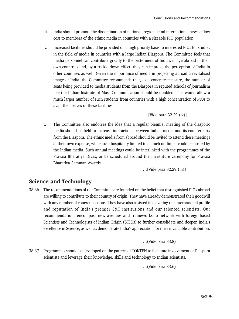- India should promote the dissemination of national, regional and international news at low iii. cost to members of the ethnic media in countries with a sizeable PIO population.
- Increased facilities should be provided on a high priority basis to interested PIOs for studies iv. in the field of media in countries with a large Indian Diaspora. The Committee feels that media personnel can contribute greatly to the betterment of India's image abroad in their own countries and, by a trickle down effect, they can improve the perception of India in other countries as well. Given the importance of media in projecting abroad a revitalised image of India, the Committee recommends that, as a concrete measure, the number of seats being provided to media students from the Diaspora in reputed schools of journalism like the Indian Institute of Mass Communication should be doubled. This would allow a much larger number of such students from countries with a high concentration of PIOs to avail themselves of these facilities.

....[Vide para 32.29 (iv)]

The Committee also endorses the idea that a regular biennial meeting of the diasporic  $V_{\cdot}$ media should be held to increase interactions between Indian media and its counterparts from the Diaspora. The ethnic media from abroad should be invited to attend these meetings at their own expense, while local hospitality limited to a lunch or dinner could be hosted by the Indian media. Such annual meetings could be interlinked with the programmes of the Pravasi Bharatiya Divas, or be scheduled around the investiture ceremony for Pravasi Bharatiya Samman Awards.

... [Vide para 32.29 (iii)]

# **Science and Technology**

38.36. The recommendations of the Committee are founded on the belief that distinguished PIOs abroad are willing to contribute to their country of origin. They have already demonstrated their goodwill with any number of concrete actions. They have also assisted in elevating the international profile and reputation of India's premier S&T institutions and our talented scientists. Our recommendations encompass new avenues and frameworks to network with foreign-based Scientists and Technologists of Indian Origin (STIOs) to further consolidate and deepen India's excellence in Science, as well as demonstrate India's appreciation for their invaluable contribution.

```
...(Vide para 33.8)
```
38.37. Programmes should be developed on the pattern of TOKTEN to facilitate involvement of Diaspora scientists and leverage their knowledge, skills and technology to Indian scientists.

...(Vide para 33.6)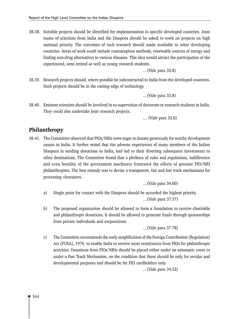38.38. Suitable projects should be identified for implementation in specific developed countries. Joint teams of scientists from India and the Diaspora should be asked to work on projects on high national priority. The outcomes of such research should made available to other developing countries. Areas of work could include contraception methods, renewable sources of energy and finding non-drug alternatives to various diseases. This idea would attract the participation of the experienced, semi retired as well as young research students.

...(Vide para 33.8)

38.39. Research projects should, where possible be subcontracted to India from the developed countries. Such projects should be in the cutting edge of technology.

...(Vide para 33.8)

38.40. Eminent scientists should be involved in co-supervision of doctorate or research students in India. They could also undertake joint research projects.

... (Vide para 33.8)

## Philanthropy

38.41. The Committee observed that PIOS/NRIs were eager to donate generously for worthy development causes in India. It further noted that the adverse experiences of many members of the Indian Diaspora in sending donations to India, had led to their diverting subsequent investments to other destinations. The Committee found that a plethora of rules and regulations, indifference and even hostility of the government machinery frustrated the efforts of genuine PIO/NRI philanthropists. The best remedy was to devise a transparent, fair and fast track mechanisms for processing clearances.

...(Vide para 34.60)

- Single point for contact with the Diaspora should be accorded the highest priority. a) ...(Vide para 37.57)
- $b)$ The proposed organisation should be allowed to form a foundation to receive charitable and philanthropic donations. It should be allowed to generate funds through sponsorships from private individuals and corporations.

```
...(Vide para 37.78)
```
 $\mathbf{c})$ The Committee recommends the early simplification of the Foreign Contribution (Regulation) Act (FCRA), 1976, to enable India to receive more remittances from PIOs for philanthropic activities. Donations from PIOs/NRIs should be placed either under an automatic route or under a Fast Track Mechanism, on the condition that these should be only for secular and developmental purposes and should be for PIO cardholders only.

...(Vide para 34.52)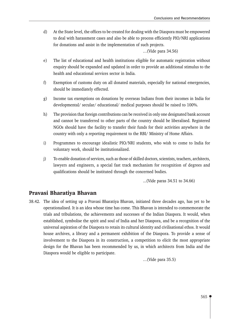$\mathbf{d}$ At the State level, the offices to be created for dealing with the Diaspora must be empowered to deal with harassment cases and also be able to process efficiently PIO/NRI applications for donations and assist in the implementation of such projects.

...(Vide para 34.56)

- $e)$ The list of educational and health institutions eligible for automatic registration without enquiry should be expanded and updated in order to provide an additional stimulus to the health and educational services sector in India.
- Exemption of customs duty on all donated materials, especially for national emergencies,  $f$ should be immediately effected.
- Income tax exemptions on donations by overseas Indians from their incomes in India for  $\mathbf{g}$ ) developmental/ secular/ educational/ medical purposes should be raised to 100%.
- $h)$ The provision that foreign contributions can be received in only one designated bank account and cannot be transferred to other parts of the country should be liberalised. Registered NGOs should have the facility to transfer their funds for their activities anywhere in the country with only a reporting requirement to the RBI/ Ministry of Home Affairs.
- $i)$ Programmes to encourage idealistic PIO/NRI students, who wish to come to India for voluntary work, should be institutionalized.
- To enable donation of services, such as those of skilled doctors, scientists, teachers, architects,  $i)$ lawyers and engineers, a special fast track mechanism for recognition of degrees and qualifications should be instituted through the concerned bodies.

...(Vide paras 34.51 to 34.66)

#### Pravasi Bharatiya Bhavan

38.42. The idea of setting up a Pravasi Bharatiya Bhavan, initiated three decades ago, has yet to be operationalised. It is an idea whose time has come. This Bhavan is intended to commemorate the trials and tribulations, the achievements and successes of the Indian Diaspora. It would, when established, symbolise the spirit and soul of India and her Diaspora, and be a recognition of the universal aspiration of the Diaspora to retain its cultural identity and civilisational ethos. It would house archives, a library and a permanent exhibition of the Diaspora. To provide a sense of involvement to the Diaspora in its construction, a competition to elicit the most appropriate design for the Bhavan has been recommended by us, in which architects from India and the Diaspora would be eligible to participate.

...(Vide para 35.5)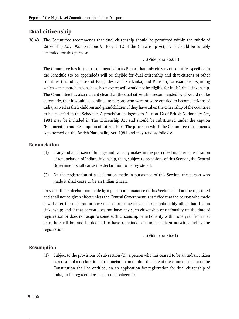# Dual citizenship

38.43. The Committee recommends that dual citizenship should be permitted within the rubric of Citizenship Act, 1955. Sections 9, 10 and 12 of the Citizenship Act, 1955 should be suitably amended for this purpose.

#### ... (Vide para 36.61)

The Committee has further recommended in its Report that only citizens of countries specified in the Schedule (to be appended) will be eligible for dual citizenship and that citizens of other countries (including those of Bangladesh and Sri Lanka, and Pakistan, for example, regarding which some apprehensions have been expressed) would not be eligible for India's dual citizenship. The Committee has also made it clear that the dual citizenship recommended by it would not be automatic, that it would be confined to persons who were or were entitled to become citizens of India, as well as their children and grandchildren if they have taken the citizenship of the countries to be specified in the Schedule. A provision analogous to Section 12 of British Nationality Act, 1981 may be included in The Citizenship Act and should be substituted under the caption "Renunciation and Resumption of Citizenship". The provision which the Committee recommends is patterned on the British Nationality Act, 1981 and may read as follows:-

#### **Renunciation**

- (1) If any Indian citizen of full age and capacity makes in the prescribed manner a declaration of renunciation of Indian citizenship, then, subject to provisions of this Section, the Central Government shall cause the declaration to be registered.
- (2) On the registration of a declaration made in pursuance of this Section, the person who made it shall cease to be an Indian citizen.

Provided that a declaration made by a person in pursuance of this Section shall not be registered and shall not be given effect unless the Central Government is satisfied that the person who made it will after the registration have or acquire some citizenship or nationality other than Indian citizenship; and if that person does not have any such citizenship or nationality on the date of registration or does not acquire some such citizenship or nationality within one year from that date, he shall be, and be deemed to have remained, an Indian citizen notwithstanding the registration.

...(Vide para 36.61)

#### **Resumption**

(1) Subject to the provisions of sub section (2), a person who has ceased to be an Indian citizen as a result of a declaration of renunciation on or after the date of the commencement of the Constitution shall be entitled, on an application for registration for dual citizenship of India, to be registered as such a dual citizen if: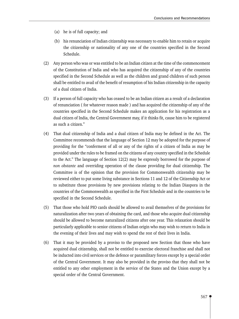- (a) he is of full capacity; and
- (b) his renunciation of Indian citizenship was necessary to enable him to retain or acquire the citizenship or nationality of any one of the countries specified in the Second Schedule.
- (2) Any person who was or was entitled to be an Indian citizen at the time of the commencement of the Constitution of India and who has acquired the citizenship of any of the countries specified in the Second Schedule as well as the children and grand children of such person shall be entitled to avail of the benefit of resumption of his Indian citizenship in the capacity of a dual citizen of India.
- (3) If a person of full capacity who has ceased to be an Indian citizen as a result of a declaration of renunciation (for whatever reason made) and has acquired the citizenship of any of the countries specified in the Second Schedule makes an application for his registration as a dual citizen of India, the Central Government may, if it thinks fit, cause him to be registered as such a citizen."
- (4) That dual citizenship of India and a dual citizen of India may be defined in the Act. The Committee recommends that the language of Section 12 may be adopted for the purpose of providing for the "conferment of all or any of the rights of a citizen of India as may be provided under the rules to be framed on the citizens of any country specified in the Schedule to the Act." The language of Section 12(2) may be expressly borrowed for the purpose of non obstante and overriding operation of the clause providing for dual citizenship. The Committee is of the opinion that the provision for Commonwealth citizenship may be reviewed either to put some living substance in Sections 11 and 12 of the Citizenship Act or to substitute those provisions by new provisions relating to the Indian Diaspora in the countries of the Commonwealth as specified in the First Schedule and in the countries to be specified in the Second Schedule.
- That those who hold PIO cards should be allowed to avail themselves of the provisions for  $(5)$ naturalization after two years of obtaining the card, and those who acquire dual citizenship should be allowed to become naturalized citizens after one year. This relaxation should be particularly applicable to senior citizens of Indian origin who may wish to return to India in the evening of their lives and may wish to spend the rest of their lives in India.
- That it may be provided by a proviso to the proposed new Section that those who have  $(6)$ acquired dual citizenship, shall not be entitled to exercise electoral franchise and shall not be inducted into civil services or the defence or paramilitary forces except by a special order of the Central Government. It may also be provided in the proviso that they shall not be entitled to any other employment in the service of the States and the Union except by a special order of the Central Government.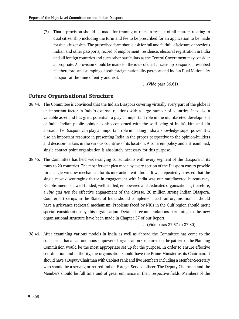(7) That a provision should be made for framing of rules in respect of all matters relating to dual citizenship including the form and fee to be prescribed for an application to be made for dual citizenship. The prescribed form should ask for full and faithful disclosure of previous Indian and other passports, record of employment, residence, electoral registration in India and all foreign countries and such other particulars as the Central Government may consider appropriate. A provision should be made for the issue of dual citizenship passports, prescribed fee therefore, and stamping of both foreign nationality passport and Indian Dual Nationality passport at the time of entry and exit.

...(Vide para 36.61)

## **Future Organisational Structure**

- 38.44. The Committee is convinced that the Indian Diaspora covering virtually every part of the globe is an important factor in India's external relations with a large number of countries. It is also a valuable asset and has great potential to play an important role in the multifaceted development of India. Indian public opinion is also concerned with the well being of India's kith and kin abroad. The Diaspora can play an important role in making India a knowledge super power. It is also an important resource in presenting India in the proper perspective to the opinion-builders and decision-makers in the various countries of its location. A coherent policy and a streamlined, single contact point organisation is absolutely necessary for this purpose.
- 38.45. The Committee has held wide-ranging consultations with every segment of the Diaspora in its tours to 20 countries. The most fervent plea made by every section of the Diaspora was to provide for a single-window mechanism for its interaction with India. It was repeatedly stressed that the single most discouraging factor in engagement with India was our multilayered bureaucracy. Establishment of a well-funded, well-staffed, empowered and dedicated organisation is, therefore, a sine qua non for effective engagement of the diverse, 20 million strong Indian Diaspora. Counterpart setups in the States of India should complement such an organisation. It should have a grievance redressal mechanism. Problems faced by NRIs in the Gulf region should merit special consideration by this organisation. Detailed recommendations pertaining to the new organisational structure have been made in Chapter 37 of our Report.

...(Vide paras 37.57 to 37.80)

38.46. After examining various models in India as well as abroad the Committee has come to the conclusion that an autonomous empowered organisation structured on the pattern of the Planning Commission would be the most appropriate set up for the purpose. In order to ensure effective coordination and authority, the organisation should have the Prime Minister as its Chairman. It should have a Deputy Chairman with Cabinet rank and five Members including a Member-Secretary who should be a serving or retired Indian Foreign Service officer. The Deputy Chairman and the Members should be full time and of great eminence in their respective fields. Members of the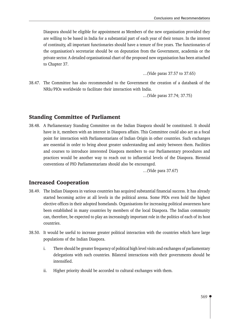Diaspora should be eligible for appointment as Members of the new organisation provided they are willing to be based in India for a substantial part of each year of their tenure. In the interest of continuity, all important functionaries should have a tenure of five years. The functionaries of the organisation's secretariat should be on deputation from the Government, academia or the private sector. A detailed organisational chart of the proposed new organisation has been attached to Chapter 37.

...(Vide paras 37.57 to 37.65)

38.47. The Committee has also recommended to the Government the creation of a databank of the NRIs/PIOs worldwide to facilitate their interaction with India.

...(Vide paras 37.74; 37.75)

#### **Standing Committee of Parliament**

38.48. A Parliamentary Standing Committee on the Indian Diaspora should be constituted. It should have in it, members with an interest in Diaspora affairs. This Committee could also act as a focal point for interaction with Parliamentarians of Indian Origin in other countries. Such exchanges are essential in order to bring about greater understanding and amity between them. Facilities and courses to introduce interested Diaspora members to our Parliamentary procedures and practices would be another way to reach out to influential levels of the Diaspora. Biennial conventions of PIO Parliamentarians should also be encouraged.

...(Vide para 37.67)

#### **Increased Cooperation**

- 38.49. The Indian Diaspora in various countries has acquired substantial financial success. It has already started becoming active at all levels in the political arena. Some PIOs even hold the highest elective offices in their adopted homelands. Organisations for increasing political awareness have been established in many countries by members of the local Diaspora. The Indian community can, therefore, be expected to play an increasingly important role in the politics of each of its host countries.
- 38.50. It would be useful to increase greater political interaction with the countries which have large populations of the Indian Diaspora.
	- $\mathbf{i}$ . There should be greater frequency of political high level visits and exchanges of parliamentary delegations with such countries. Bilateral interactions with their governments should be intensified.
	- Higher priority should be accorded to cultural exchanges with them. ii.